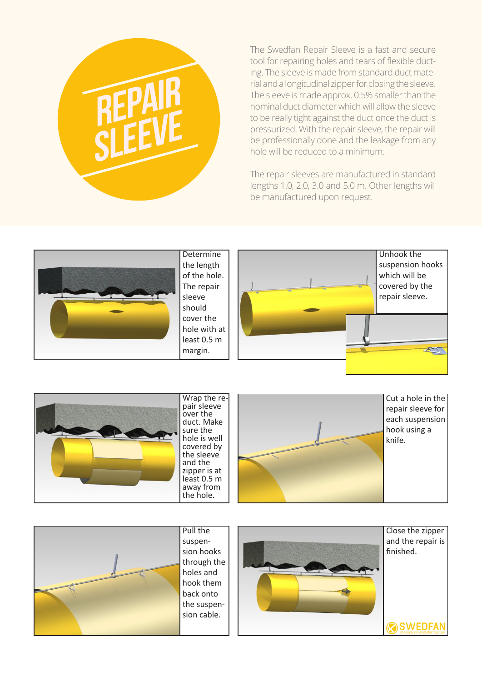

The Swedfan Repair Sleeve is a fast and secure tool for repairing holes and tears of flexible ducting. The sleeve is made from standard duct material and a longitudinal zipper for closing the sleeve. The sleeve is made approx. 0.5% smaller than the nominal duct diameter which will allow the sleeve to be really tight against the duct once the duct is pressurized. With the repair sleeve, the repair will be professionally done and the leakage from any hole will be reduced to a minimum.

The repair sleeves are manufactured in standard lengths 1.0, 2.0, 3.0 and 5.0 m. Other lengths will be manufactured upon request.